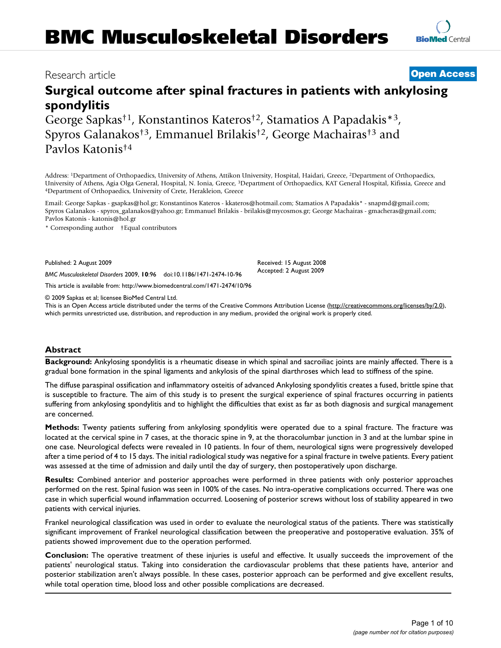# **Surgical outcome after spinal fractures in patients with ankylosing spondylitis**

George Sapkas†1, Konstantinos Kateros†2, Stamatios A Papadakis\*3, Spyros Galanakos†3, Emmanuel Brilakis†2, George Machairas†3 and Pavlos Katonis†4

Address: 1Department of Orthopaedics, University of Athens, Attikon University, Hospital, Haidari, Greece, 2Department of Orthopaedics, University of Athens, Agia Olga General, Hospital, N. Ionia, Greece, <sup>3</sup>Department of Orthopaedics, KAT General Hospital, Kifissia, Greece and 4Department of Orthopaedics, University of Crete, Herakleion, Greece

Email: George Sapkas - gsapkas@hol.gr; Konstantinos Kateros - kkateros@hotmail.com; Stamatios A Papadakis\* - snapmd@gmail.com; Spyros Galanakos - spyros\_galanakos@yahoo.gr; Emmanuel Brilakis - brilakis@mycosmos.gr; George Machairas - gmacheras@gmail.com; Pavlos Katonis - katonis@hol.gr

\* Corresponding author †Equal contributors

Published: 2 August 2009

*BMC Musculoskeletal Disorders* 2009, **10**:96 doi:10.1186/1471-2474-10-96

[This article is available from: http://www.biomedcentral.com/1471-2474/10/96](http://www.biomedcentral.com/1471-2474/10/96)

© 2009 Sapkas et al; licensee BioMed Central Ltd.

This is an Open Access article distributed under the terms of the Creative Commons Attribution License [\(http://creativecommons.org/licenses/by/2.0\)](http://creativecommons.org/licenses/by/2.0), which permits unrestricted use, distribution, and reproduction in any medium, provided the original work is properly cited.

Received: 15 August 2008 Accepted: 2 August 2009

# **Abstract**

**Background:** Ankylosing spondylitis is a rheumatic disease in which spinal and sacroiliac joints are mainly affected. There is a gradual bone formation in the spinal ligaments and ankylosis of the spinal diarthroses which lead to stiffness of the spine.

The diffuse paraspinal ossification and inflammatory osteitis of advanced Ankylosing spondylitis creates a fused, brittle spine that is susceptible to fracture. The aim of this study is to present the surgical experience of spinal fractures occurring in patients suffering from ankylosing spondylitis and to highlight the difficulties that exist as far as both diagnosis and surgical management are concerned.

**Methods:** Twenty patients suffering from ankylosing spondylitis were operated due to a spinal fracture. The fracture was located at the cervical spine in 7 cases, at the thoracic spine in 9, at the thoracolumbar junction in 3 and at the lumbar spine in one case. Neurological defects were revealed in 10 patients. In four of them, neurological signs were progressively developed after a time period of 4 to 15 days. The initial radiological study was negative for a spinal fracture in twelve patients. Every patient was assessed at the time of admission and daily until the day of surgery, then postoperatively upon discharge.

**Results:** Combined anterior and posterior approaches were performed in three patients with only posterior approaches performed on the rest. Spinal fusion was seen in 100% of the cases. No intra-operative complications occurred. There was one case in which superficial wound inflammation occurred. Loosening of posterior screws without loss of stability appeared in two patients with cervical injuries.

Frankel neurological classification was used in order to evaluate the neurological status of the patients. There was statistically significant improvement of Frankel neurological classification between the preoperative and postoperative evaluation. 35% of patients showed improvement due to the operation performed.

**Conclusion:** The operative treatment of these injuries is useful and effective. It usually succeeds the improvement of the patients' neurological status. Taking into consideration the cardiovascular problems that these patients have, anterior and posterior stabilization aren't always possible. In these cases, posterior approach can be performed and give excellent results, while total operation time, blood loss and other possible complications are decreased.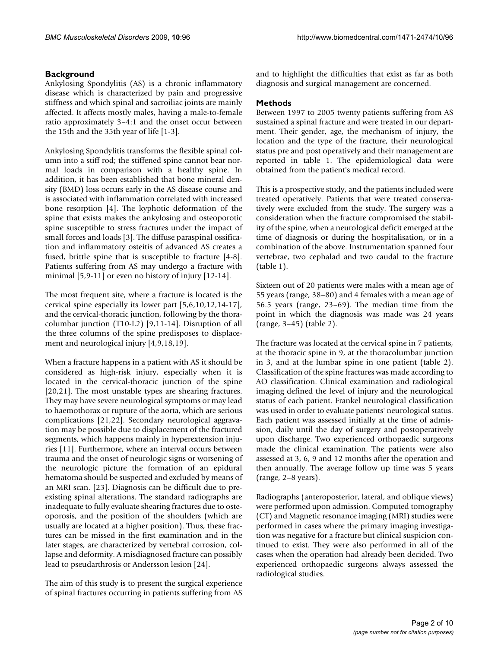# **Background**

Ankylosing Spondylitis (AS) is a chronic inflammatory disease which is characterized by pain and progressive stiffness and which spinal and sacroiliac joints are mainly affected. It affects mostly males, having a male-to-female ratio approximately 3–4:1 and the onset occur between the 15th and the 35th year of life [1-3].

Ankylosing Spondylitis transforms the flexible spinal column into a stiff rod; the stiffened spine cannot bear normal loads in comparison with a healthy spine. In addition, it has been established that bone mineral density (BMD) loss occurs early in the AS disease course and is associated with inflammation correlated with increased bone resorption [4]. The kyphotic deformation of the spine that exists makes the ankylosing and osteoporotic spine susceptible to stress fractures under the impact of small forces and loads [3]. The diffuse paraspinal ossification and inflammatory osteitis of advanced AS creates a fused, brittle spine that is susceptible to fracture [4-8]. Patients suffering from AS may undergo a fracture with minimal [5,9-11] or even no history of injury [12-14].

The most frequent site, where a fracture is located is the cervical spine especially its lower part [5,6,10,12,14-17], and the cervical-thoracic junction, following by the thoracolumbar junction (T10-L2) [9,11-14]. Disruption of all the three columns of the spine predisposes to displacement and neurological injury [4,9,18,19].

When a fracture happens in a patient with AS it should be considered as high-risk injury, especially when it is located in the cervical-thoracic junction of the spine [20,21]. The most unstable types are shearing fractures. They may have severe neurological symptoms or may lead to haemothorax or rupture of the aorta, which are serious complications [21,22]. Secondary neurological aggravation may be possible due to displacement of the fractured segments, which happens mainly in hyperextension injuries [11]. Furthermore, where an interval occurs between trauma and the onset of neurologic signs or worsening of the neurologic picture the formation of an epidural hematoma should be suspected and excluded by means of an MRI scan. [23]. Diagnosis can be difficult due to preexisting spinal alterations. The standard radiographs are inadequate to fully evaluate shearing fractures due to osteoporosis, and the position of the shoulders (which are usually are located at a higher position). Thus, these fractures can be missed in the first examination and in the later stages, are characterized by vertebral corrosion, collapse and deformity. A misdiagnosed fracture can possibly lead to pseudarthrosis or Andersson lesion [24].

The aim of this study is to present the surgical experience of spinal fractures occurring in patients suffering from AS

and to highlight the difficulties that exist as far as both diagnosis and surgical management are concerned.

# **Methods**

Between 1997 to 2005 twenty patients suffering from AS sustained a spinal fracture and were treated in our department. Their gender, age, the mechanism of injury, the location and the type of the fracture, their neurological status pre and post operatively and their management are reported in table 1. The epidemiological data were obtained from the patient's medical record.

This is a prospective study, and the patients included were treated operatively. Patients that were treated conservatively were excluded from the study. The surgery was a consideration when the fracture compromised the stability of the spine, when a neurological deficit emerged at the time of diagnosis or during the hospitalisation, or in a combination of the above. Instrumentation spanned four vertebrae, two cephalad and two caudal to the fracture (table 1).

Sixteen out of 20 patients were males with a mean age of 55 years (range, 38–80) and 4 females with a mean age of 56.5 years (range, 23–69). The median time from the point in which the diagnosis was made was 24 years (range, 3–45) (table 2).

The fracture was located at the cervical spine in 7 patients, at the thoracic spine in 9, at the thoracolumbar junction in 3, and at the lumbar spine in one patient (table 2). Classification of the spine fractures was made according to AO classification. Clinical examination and radiological imaging defined the level of injury and the neurological status of each patient. Frankel neurological classification was used in order to evaluate patients' neurological status. Each patient was assessed initially at the time of admission, daily until the day of surgery and postoperatively upon discharge. Two experienced orthopaedic surgeons made the clinical examination. The patients were also assessed at 3, 6, 9 and 12 months after the operation and then annually. The average follow up time was 5 years (range, 2–8 years).

Radiographs (anteroposterior, lateral, and oblique views) were performed upon admission. Computed tomography (CT) and Magnetic resonance imaging (MRI) studies were performed in cases where the primary imaging investigation was negative for a fracture but clinical suspicion continued to exist. They were also performed in all of the cases when the operation had already been decided. Two experienced orthopaedic surgeons always assessed the radiological studies.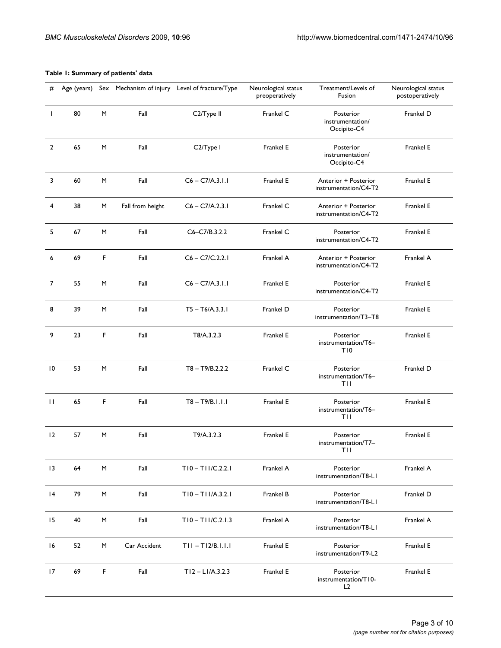## **Table 1: Summary of patients' data**

| #               | Age (years) |         |                  | Sex Mechanism of injury Level of fracture/Type | Neurological status<br>preoperatively | Treatment/Levels of<br>Fusion                       | Neurological status<br>postoperatively |
|-----------------|-------------|---------|------------------|------------------------------------------------|---------------------------------------|-----------------------------------------------------|----------------------------------------|
| $\mathbf{I}$    | 80          | M       | Fall             | C <sub>2</sub> /Type II                        | Frankel C                             | Posterior<br>instrumentation/<br>Occipito-C4        | Frankel D                              |
| $\overline{2}$  | 65          | M       | Fall             | C2/Type I                                      | Frankel E                             | Posterior<br>instrumentation/<br>Occipito-C4        | Frankel E                              |
| 3               | 60          | M       | Fall             | $C6 - C7/A.3.1.1$                              | Frankel E                             | Anterior + Posterior<br>instrumentation/C4-T2       | Frankel E                              |
| 4               | 38          | M       | Fall from height | $C6 - C7/A.2.3.1$                              | Frankel C                             | Anterior + Posterior<br>instrumentation/C4-T2       | Frankel E                              |
| 5               | 67          | M       | Fall             | C6-C7/B.3.2.2                                  | Frankel C                             | Posterior<br>instrumentation/C4-T2                  | Frankel E                              |
| 6               | 69          | F       | Fall             | $C6 - C7/C.2.2.1$                              | Frankel A                             | Anterior + Posterior<br>instrumentation/C4-T2       | Frankel A                              |
| 7               | 55          | M       | Fall             | $C6 - C7/A.3.1.1$                              | Frankel E                             | Posterior<br>instrumentation/C4-T2                  | Frankel E                              |
| 8               | 39          | M       | Fall             | $T5 - T6/A.3.3.1$                              | Frankel D                             | Posterior<br>instrumentation/T3-T8                  | Frankel E                              |
| 9               | 23          | F       | Fall             | T8/A.3.2.3                                     | Frankel E                             | Posterior<br>instrumentation/T6-<br>TI0             | Frankel E                              |
| 0               | 53          | M       | Fall             | $T8 - T9/B.2.2.2$                              | Frankel C                             | Posterior<br>instrumentation/T6-<br>TH              | Frankel D                              |
| $\mathbf{H}$    | 65          | F       | Fall             | $T8 - T9/B.1.1.1$                              | Frankel E                             | Posterior<br>instrumentation/T6-<br>TH              | Frankel E                              |
| 12              | 57          | M       | Fall             | T9/A.3.2.3                                     | Frankel E                             | Posterior<br>instrumentation/T7-<br>TH              | Frankel E                              |
| $\overline{13}$ | 64          | M       | Fall             | $T10 - T11/C.2.2.1$                            | Frankel A                             | Posterior<br>instrumentation/T8-L1                  | Frankel A                              |
| 4               | 79          | M       | Fall             | $T10 - T11/A.3.2.1$                            | Frankel B                             | Posterior<br>instrumentation/T8-L1                  | Frankel D                              |
| 15              | 40          | $\sf M$ | Fall             | $T10 - T11/C.2.1.3$                            | Frankel A                             | Posterior<br>instrumentation/T8-L1                  | Frankel A                              |
| 16              | 52          | M       | Car Accident     | $TII - T12/B.1.1.1$                            | Frankel E                             | Posterior<br>instrumentation/T9-L2                  | Frankel E                              |
| 17              | 69          | F       | Fall             | $T12 - L1/A.3.2.3$                             | Frankel E                             | Posterior<br>instrumentation/T10-<br>L <sub>2</sub> | Frankel E                              |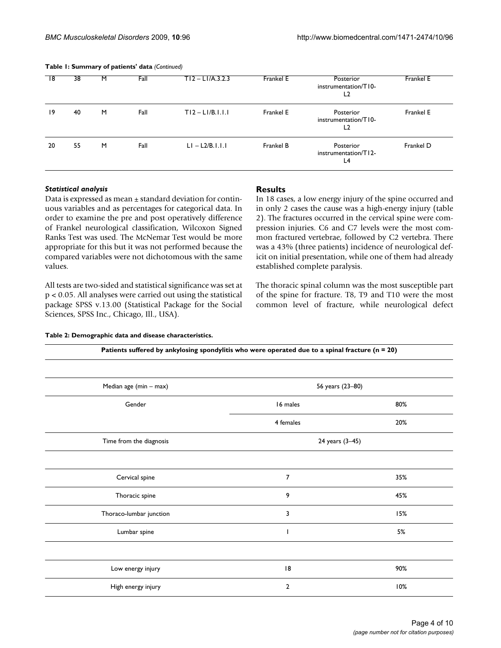| 18              | 38 | м | Fall | T12-LI/A.3.2.3         | Frankel E | Posterior<br>instrumentation/T10-<br>L <sub>2</sub> | Frankel E |
|-----------------|----|---|------|------------------------|-----------|-----------------------------------------------------|-----------|
| $\overline{19}$ | 40 | M | Fall | $T12 - L1/B$ . $I.1.1$ | Frankel E | Posterior<br>instrumentation/T10-<br>L2             | Frankel E |
| 20              | 55 | M | Fall | $LI - L2/B.I.I.I.$     | Frankel B | Posterior<br>instrumentation/T12-<br>L4             | Frankel D |

**Table 1: Summary of patients' data** *(Continued)*

## *Statistical analysis*

Data is expressed as mean ± standard deviation for continuous variables and as percentages for categorical data. In order to examine the pre and post operatively difference of Frankel neurological classification, Wilcoxon Signed Ranks Test was used. The McNemar Test would be more appropriate for this but it was not performed because the compared variables were not dichotomous with the same values.

All tests are two-sided and statistical significance was set at p < 0.05. All analyses were carried out using the statistical package SPSS v.13.00 (Statistical Package for the Social Sciences, SPSS Inc., Chicago, Ill., USA).

**Table 2: Demographic data and disease characteristics.**

# **Results**

In 18 cases, a low energy injury of the spine occurred and in only 2 cases the cause was a high-energy injury (table 2). The fractures occurred in the cervical spine were compression injuries. C6 and C7 levels were the most common fractured vertebrae, followed by C2 vertebra. There was a 43% (three patients) incidence of neurological deficit on initial presentation, while one of them had already established complete paralysis.

The thoracic spinal column was the most susceptible part of the spine for fracture. T8, T9 and T10 were the most common level of fracture, while neurological defect

| Patients suffered by ankylosing spondylitis who were operated due to a spinal fracture ( $n = 20$ ) |                  |     |  |  |
|-----------------------------------------------------------------------------------------------------|------------------|-----|--|--|
|                                                                                                     |                  |     |  |  |
| Median age $(min - max)$                                                                            | 56 years (23-80) |     |  |  |
| Gender                                                                                              | 16 males         | 80% |  |  |
|                                                                                                     | 4 females        | 20% |  |  |
| Time from the diagnosis                                                                             | 24 years (3-45)  |     |  |  |
|                                                                                                     |                  |     |  |  |
| Cervical spine                                                                                      | 7                | 35% |  |  |
| Thoracic spine                                                                                      | 9                | 45% |  |  |
| Thoraco-lumbar junction                                                                             | 3                | 15% |  |  |
| Lumbar spine                                                                                        | I                | 5%  |  |  |
|                                                                                                     |                  |     |  |  |
| Low energy injury                                                                                   | 8                | 90% |  |  |
| High energy injury                                                                                  | $\overline{2}$   | 10% |  |  |
|                                                                                                     |                  |     |  |  |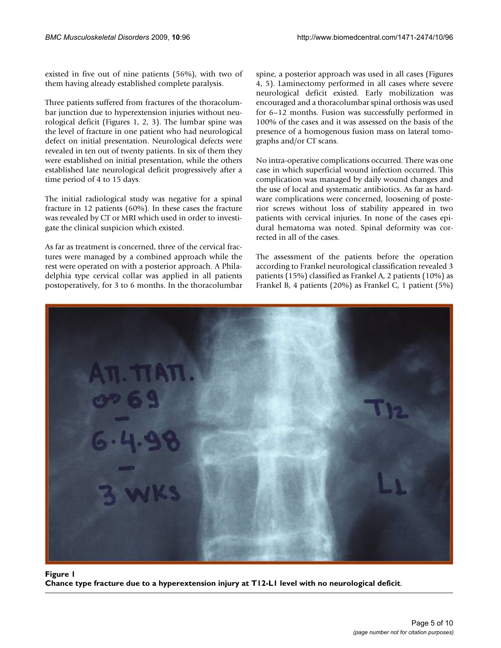existed in five out of nine patients (56%), with two of them having already established complete paralysis.

Three patients suffered from fractures of the thoracolumbar junction due to hyperextension injuries without neurological deficit (Figures 1, 2, 3). The lumbar spine was the level of fracture in one patient who had neurological defect on initial presentation. Neurological defects were revealed in ten out of twenty patients. In six of them they were established on initial presentation, while the others established late neurological deficit progressively after a time period of 4 to 15 days.

The initial radiological study was negative for a spinal fracture in 12 patients (60%). In these cases the fracture was revealed by CT or MRI which used in order to investigate the clinical suspicion which existed.

As far as treatment is concerned, three of the cervical fractures were managed by a combined approach while the rest were operated on with a posterior approach. A Philadelphia type cervical collar was applied in all patients postoperatively, for 3 to 6 months. In the thoracolumbar spine, a posterior approach was used in all cases (Figures 4, 5). Laminectomy performed in all cases where severe neurological deficit existed. Early mobilization was encouraged and a thoracolumbar spinal orthosis was used for 6–12 months. Fusion was successfully performed in 100% of the cases and it was assessed on the basis of the presence of a homogenous fusion mass on lateral tomographs and/or CT scans.

No intra-operative complications occurred. There was one case in which superficial wound infection occurred. This complication was managed by daily wound changes and the use of local and systematic antibiotics. As far as hardware complications were concerned, loosening of posterior screws without loss of stability appeared in two patients with cervical injuries. In none of the cases epidural hematoma was noted. Spinal deformity was corrected in all of the cases.

The assessment of the patients before the operation according to Frankel neurological classification revealed 3 patients (15%) classified as Frankel A, 2 patients (10%) as Frankel B, 4 patients (20%) as Frankel C, 1 patient (5%)



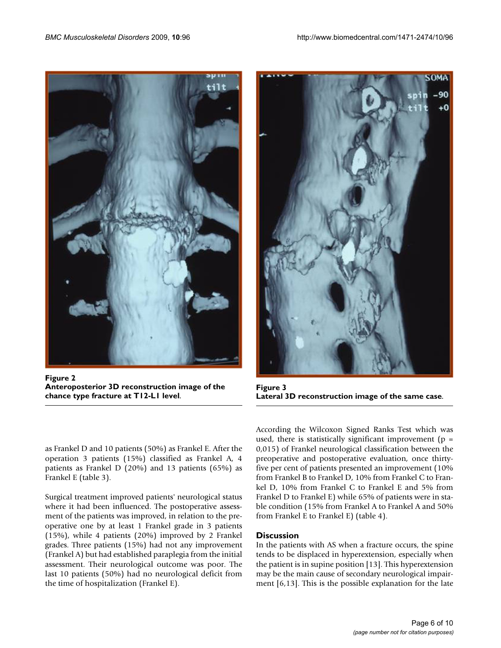

Figure 2 **Anteroposterior 3D reconstruction image of the chance type fracture at T12-L1 level**.



**Figure 3 Lateral 3D reconstruction image of the same case**.

as Frankel D and 10 patients (50%) as Frankel E. After the operation 3 patients (15%) classified as Frankel A, 4 patients as Frankel D (20%) and 13 patients (65%) as Frankel E (table 3).

Surgical treatment improved patients' neurological status where it had been influenced. The postoperative assessment of the patients was improved, in relation to the preoperative one by at least 1 Frankel grade in 3 patients (15%), while 4 patients (20%) improved by 2 Frankel grades. Three patients (15%) had not any improvement (Frankel A) but had established paraplegia from the initial assessment. Their neurological outcome was poor. The last 10 patients (50%) had no neurological deficit from the time of hospitalization (Frankel E).

According the Wilcoxon Signed Ranks Test which was used, there is statistically significant improvement ( $p =$ 0,015) of Frankel neurological classification between the preoperative and postoperative evaluation, once thirtyfive per cent of patients presented an improvement (10% from Frankel B to Frankel D, 10% from Frankel C to Frankel D, 10% from Frankel C to Frankel E and 5% from Frankel D to Frankel E) while 65% of patients were in stable condition (15% from Frankel A to Frankel A and 50% from Frankel E to Frankel E) (table 4).

## **Discussion**

In the patients with AS when a fracture occurs, the spine tends to be displaced in hyperextension, especially when the patient is in supine position [13]. This hyperextension may be the main cause of secondary neurological impairment [6,13]. This is the possible explanation for the late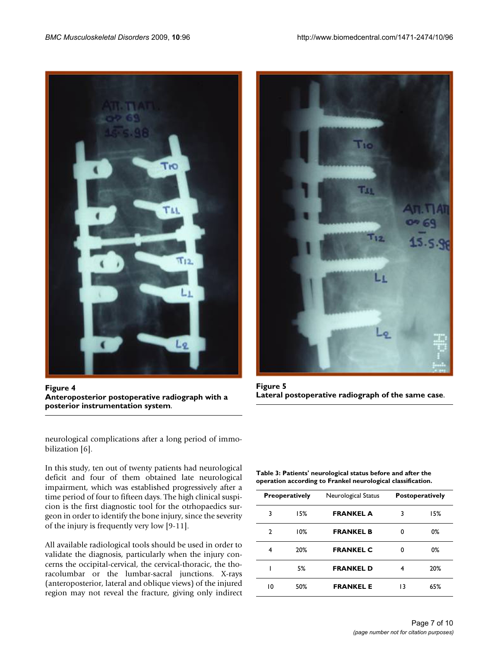

**Figure 4 Anteroposterior postoperative radiograph with a posterior instrumentation system**.



**Figure 5 Lateral postoperative radiograph of the same case**.

neurological complications after a long period of immobilization [6].

In this study, ten out of twenty patients had neurological deficit and four of them obtained late neurological impairment, which was established progressively after a time period of four to fifteen days. The high clinical suspicion is the first diagnostic tool for the otrhopaedics surgeon in order to identify the bone injury, since the severity of the injury is frequently very low [9-11].

All available radiological tools should be used in order to validate the diagnosis, particularly when the injury concerns the occipital-cervical, the cervical-thoracic, the thoracolumbar or the lumbar-sacral junctions. X-rays (anteroposterior, lateral and oblique views) of the injured region may not reveal the fracture, giving only indirect

| Table 3: Patients' neurological status before and after the |  |
|-------------------------------------------------------------|--|
| operation according to Frankel neurological classification. |  |

|               | <b>Preoperatively</b> | Neurological Status |    | <b>Postoperatively</b> |
|---------------|-----------------------|---------------------|----|------------------------|
| 3             | 15%                   | <b>FRANKEL A</b>    | 3  | 15%                    |
| $\mathcal{P}$ | 10%                   | <b>FRANKEL B</b>    | 0  | 0%                     |
| 4             | 20%                   | <b>FRANKEL C</b>    | 0  | 0%                     |
|               | 5%                    | <b>FRANKEL D</b>    | 4  | 20%                    |
| 10            | 50%                   | <b>FRANKEL E</b>    | 13 | 65%                    |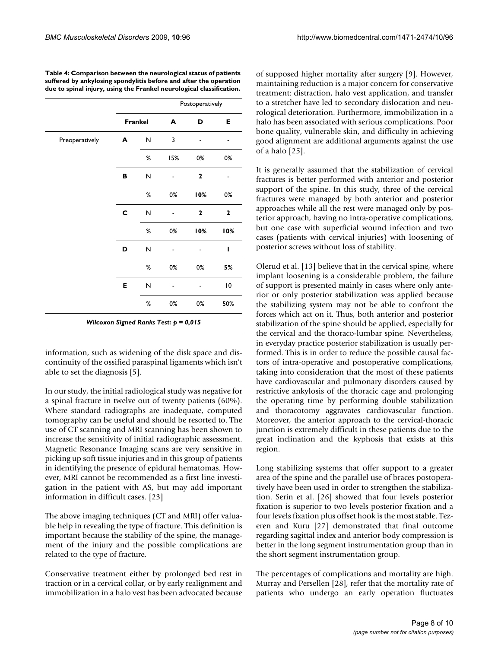|                |   | Postoperatively |     |             |     |
|----------------|---|-----------------|-----|-------------|-----|
|                |   | Frankel         | A   | D           | Е   |
| Preoperatively | A | N               | 3   |             |     |
|                |   | %               | 15% | 0%          | 0%  |
|                | в | N               |     | $\mathbf 2$ |     |
|                |   | $\%$            | 0%  | 10%         | 0%  |
|                | C | Ν               |     | 2           | 2   |
|                |   | $\%$            | 0%  | 10%         | 10% |
|                | D | Ν               |     |             | ı   |
|                |   | %               | 0%  | 0%          | 5%  |
|                | E | N               |     |             | 10  |
|                |   | $\%$            | 0%  | 0%          | 50% |

**Table 4: Comparison between the neurological status of patients suffered by ankylosing spondylitis before and after the operation due to spinal injury, using the Frankel neurological classification.**

information, such as widening of the disk space and discontinuity of the ossified paraspinal ligaments which isn't able to set the diagnosis [5].

In our study, the initial radiological study was negative for a spinal fracture in twelve out of twenty patients (60%). Where standard radiographs are inadequate, computed tomography can be useful and should be resorted to. The use of CT scanning and MRI scanning has been shown to increase the sensitivity of initial radiographic assessment. Magnetic Resonance Imaging scans are very sensitive in picking up soft tissue injuries and in this group of patients in identifying the presence of epidural hematomas. However, MRI cannot be recommended as a first line investigation in the patient with AS, but may add important information in difficult cases. [23]

The above imaging techniques (CT and MRI) offer valuable help in revealing the type of fracture. This definition is important because the stability of the spine, the management of the injury and the possible complications are related to the type of fracture.

Conservative treatment either by prolonged bed rest in traction or in a cervical collar, or by early realignment and immobilization in a halo vest has been advocated because of supposed higher mortality after surgery [9]. However, maintaining reduction is a major concern for conservative treatment: distraction, halo vest application, and transfer to a stretcher have led to secondary dislocation and neurological deterioration. Furthermore, immobilization in a halo has been associated with serious complications. Poor bone quality, vulnerable skin, and difficulty in achieving good alignment are additional arguments against the use of a halo [25].

It is generally assumed that the stabilization of cervical fractures is better performed with anterior and posterior support of the spine. In this study, three of the cervical fractures were managed by both anterior and posterior approaches while all the rest were managed only by posterior approach, having no intra-operative complications, but one case with superficial wound infection and two cases (patients with cervical injuries) with loosening of posterior screws without loss of stability.

Olerud et al. [13] believe that in the cervical spine, where implant loosening is a considerable problem, the failure of support is presented mainly in cases where only anterior or only posterior stabilization was applied because the stabilizing system may not be able to confront the forces which act on it. Thus, both anterior and posterior stabilization of the spine should be applied, especially for the cervical and the thoraco-lumbar spine. Nevertheless, in everyday practice posterior stabilization is usually performed. This is in order to reduce the possible causal factors of intra-operative and postoperative complications, taking into consideration that the most of these patients have cardiovascular and pulmonary disorders caused by restrictive ankylosis of the thoracic cage and prolonging the operating time by performing double stabilization and thoracotomy aggravates cardiovascular function. Moreover, the anterior approach to the cervical-thoracic junction is extremely difficult in these patients due to the great inclination and the kyphosis that exists at this region.

Long stabilizing systems that offer support to a greater area of the spine and the parallel use of braces postoperatively have been used in order to strengthen the stabilization. Serin et al. [26] showed that four levels posterior fixation is superior to two levels posterior fixation and a four levels fixation plus offset hook is the most stable. Tezeren and Kuru [27] demonstrated that final outcome regarding sagittal index and anterior body compression is better in the long segment instrumentation group than in the short segment instrumentation group.

The percentages of complications and mortality are high. Murray and Persellen [28], refer that the mortality rate of patients who undergo an early operation fluctuates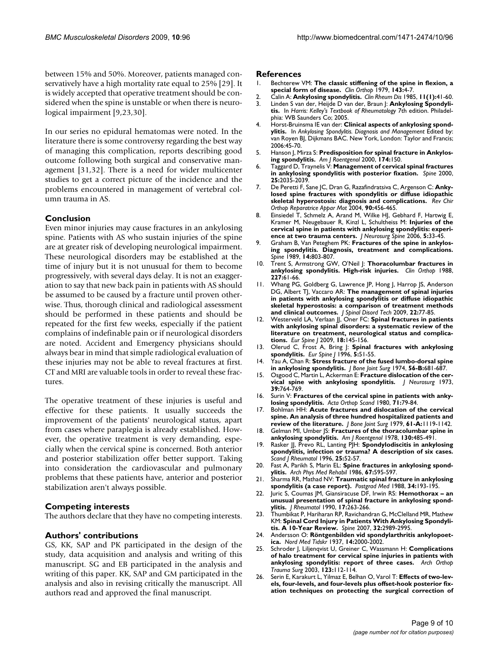between 15% and 50%. Moreover, patients managed conservatively have a high mortality rate equal to 25% [29]. It is widely accepted that operative treatment should be considered when the spine is unstable or when there is neurological impairment [9,23,30].

In our series no epidural hematomas were noted. In the literature there is some controversy regarding the best way of managing this complication, reports describing good outcome following both surgical and conservative management [31,32]. There is a need for wider multicenter studies to get a correct picture of the incidence and the problems encountered in management of vertebral column trauma in AS.

## **Conclusion**

Even minor injuries may cause fractures in an ankylosing spine. Patients with AS who sustain injuries of the spine are at greater risk of developing neurological impairment. These neurological disorders may be established at the time of injury but it is not unusual for them to become progressively, with several days delay. It is not an exaggeration to say that new back pain in patients with AS should be assumed to be caused by a fracture until proven otherwise. Thus, thorough clinical and radiological assessment should be performed in these patients and should be repeated for the first few weeks, especially if the patient complains of indefinable pain or if neurological disorders are noted. Accident and Emergency physicians should always bear in mind that simple radiological evaluation of these injuries may not be able to reveal fractures at first. CT and MRI are valuable tools in order to reveal these fractures.

The operative treatment of these injuries is useful and effective for these patients. It usually succeeds the improvement of the patients' neurological status, apart from cases where paraplegia is already established. However, the operative treatment is very demanding, especially when the cervical spine is concerned. Both anterior and posterior stabilization offer better support. Taking into consideration the cardiovascular and pulmonary problems that these patients have, anterior and posterior stabilization aren't always possible.

## **Competing interests**

The authors declare that they have no competing interests.

## **Authors' contributions**

GS, KK, SAP and PK participated in the design of the study, data acquisition and analysis and writing of this manuscript. SG and EB participated in the analysis and writing of this paper. KK, SAP and GM participated in the analysis and also in revising critically the manuscript. All authors read and approved the final manuscript.

#### **References**

- 1. Bechterew VM: **[The classic stiffening of the spine in flexion, a](http://www.ncbi.nlm.nih.gov/entrez/query.fcgi?cmd=Retrieve&db=PubMed&dopt=Abstract&list_uids=389519) [special form of disease.](http://www.ncbi.nlm.nih.gov/entrez/query.fcgi?cmd=Retrieve&db=PubMed&dopt=Abstract&list_uids=389519)** *Clin Orthop* 1979, **143:**4-7.
- 2. Calin A: **[Ankylosing spondylitis.](http://www.ncbi.nlm.nih.gov/entrez/query.fcgi?cmd=Retrieve&db=PubMed&dopt=Abstract&list_uids=3158467)** *Clin Rheum Dis* 1985, **11(1):**41-60.
- 3. Linden S van der, Heijde D van der, Braun J: **Ankylosing Spondylitis.** In *Harris: Kelley's Textbook of Rheumatology* 7th edition. Philadelphia: WB Saunders Co; 2005.
- 4. Horst-Bruinsma IE van der: **Clinical aspects of ankylosing spondylitis.** In *Ankylosing Spondylitis. Diagnosis and Management* Edited by: van Royen BJ, Dijkmans BAC. New York, London: Taylor and Francis; 2006:45-70.
- 5. Hanson J, Mirza S: **Predisposition for spinal fracture in Ankylosing spondylitis.** *Am J Roentgenol* 2000, **174:**150.
- 6. Taggard D, Traynelis V: **[Management of cervical spinal fractures](http://www.ncbi.nlm.nih.gov/entrez/query.fcgi?cmd=Retrieve&db=PubMed&dopt=Abstract&list_uids=10954633) [in ankylosing spondylitis with posterior fixation.](http://www.ncbi.nlm.nih.gov/entrez/query.fcgi?cmd=Retrieve&db=PubMed&dopt=Abstract&list_uids=10954633)** *Spine* 2000, **25:**2035-2039.
- 7. De Peretti F, Sane JC, Dran G, Razafindratsiva C, Argenson C: **[Anky](http://www.ncbi.nlm.nih.gov/entrez/query.fcgi?cmd=Retrieve&db=PubMed&dopt=Abstract&list_uids=15502769)[losed spine fractures with spondylitis or diffuse idiopathic](http://www.ncbi.nlm.nih.gov/entrez/query.fcgi?cmd=Retrieve&db=PubMed&dopt=Abstract&list_uids=15502769) [skeletal hyperostosis: diagnosis and complications.](http://www.ncbi.nlm.nih.gov/entrez/query.fcgi?cmd=Retrieve&db=PubMed&dopt=Abstract&list_uids=15502769)** *Rev Chir Orthop Reparatrice Appar Mot* 2004, **90:**456-465.
- 8. Einsiedel T, Schmelz A, Arand M, Wilke HJ, Gebhard F, Hartwig E, Kramer M, Neugebauer R, Kinzl L, Schultheiss M: **[Injuries of the](http://www.ncbi.nlm.nih.gov/entrez/query.fcgi?cmd=Retrieve&db=PubMed&dopt=Abstract&list_uids=16850954) [cervical spine in patients with ankylosing spondylitis: experi](http://www.ncbi.nlm.nih.gov/entrez/query.fcgi?cmd=Retrieve&db=PubMed&dopt=Abstract&list_uids=16850954)[ence at two trauma centers.](http://www.ncbi.nlm.nih.gov/entrez/query.fcgi?cmd=Retrieve&db=PubMed&dopt=Abstract&list_uids=16850954)** *J Neurosurg Spine* 2006, **5:**33-45.
- 9. Graham B, Van Peteghem PK: **[Fractures of the spine in ankylos](http://www.ncbi.nlm.nih.gov/entrez/query.fcgi?cmd=Retrieve&db=PubMed&dopt=Abstract&list_uids=2781394)[ing spondylitis. Diagnosis, treatment and complications.](http://www.ncbi.nlm.nih.gov/entrez/query.fcgi?cmd=Retrieve&db=PubMed&dopt=Abstract&list_uids=2781394)** *Spine* 1989, **14:**803-807.
- 10. Trent S, Armstrong GW, O'Neil J: **[Thoracolumbar fractures in](http://www.ncbi.nlm.nih.gov/entrez/query.fcgi?cmd=Retrieve&db=PubMed&dopt=Abstract&list_uids=3276425) [ankylosing spondylitis. High-risk injuries.](http://www.ncbi.nlm.nih.gov/entrez/query.fcgi?cmd=Retrieve&db=PubMed&dopt=Abstract&list_uids=3276425)** *Clin Orthop* 1988, **227:**61-66.
- 11. Whang PG, Goldberg G, Lawrence JP, Hong J, Harrop JS, Anderson DG, Albert TJ, Vaccaro AR: **[The management of spinal injuries](http://www.ncbi.nlm.nih.gov/entrez/query.fcgi?cmd=Retrieve&db=PubMed&dopt=Abstract&list_uids=19342927) [in patients with ankylosing spondylitis or diffuse idiopathic](http://www.ncbi.nlm.nih.gov/entrez/query.fcgi?cmd=Retrieve&db=PubMed&dopt=Abstract&list_uids=19342927) skeletal hyperostosis: a comparison of treatment methods [and clinical outcomes.](http://www.ncbi.nlm.nih.gov/entrez/query.fcgi?cmd=Retrieve&db=PubMed&dopt=Abstract&list_uids=19342927)** *J Spinal Disord Tech* 2009, **22:**77-85.
- 12. Westerveld LA, Verlaan JJ, Oner FC: **[Spinal fractures in patients](http://www.ncbi.nlm.nih.gov/entrez/query.fcgi?cmd=Retrieve&db=PubMed&dopt=Abstract&list_uids=18791749) [with ankylosing spinal disorders: a systematic review of the](http://www.ncbi.nlm.nih.gov/entrez/query.fcgi?cmd=Retrieve&db=PubMed&dopt=Abstract&list_uids=18791749) literature on treatment, neurological status and complica[tions.](http://www.ncbi.nlm.nih.gov/entrez/query.fcgi?cmd=Retrieve&db=PubMed&dopt=Abstract&list_uids=18791749)** *Eur Spine J* 2009, **18:**145-156.
- 13. Olerud C, Frost A, Bring J: **[Spinal fractures with ankylosing](http://www.ncbi.nlm.nih.gov/entrez/query.fcgi?cmd=Retrieve&db=PubMed&dopt=Abstract&list_uids=8689417) [spondylitis.](http://www.ncbi.nlm.nih.gov/entrez/query.fcgi?cmd=Retrieve&db=PubMed&dopt=Abstract&list_uids=8689417)** *Eur Spine J* 1996, **5:**51-55.
- 14. Yau A, Chan R: **Stress fracture of the fused lumbo-dorsal spine in ankylosing spondylitis.** *J Bone Joint Surg* 1974, **56-B:**681-687.
- 15. Osgood C, Martin L, Ackerman E: **[Fracture dislocation of the cer](http://www.ncbi.nlm.nih.gov/entrez/query.fcgi?cmd=Retrieve&db=PubMed&dopt=Abstract&list_uids=4759664)[vical spine with ankylosing spondylitis.](http://www.ncbi.nlm.nih.gov/entrez/query.fcgi?cmd=Retrieve&db=PubMed&dopt=Abstract&list_uids=4759664)** *J Neurosurg* 1973, **39:**764-769.
- 16. Surin V: **Fractures of the cervical spine in patients with ankylosing spondylitis.** *Acta Orthop Scand* 1980, **71:**79-84.
- 17. Bohlman HH: **Acute fractures and dislocation of the cervical spine. An analysis of three hundred hospitalized patients and review of the literature.** *J Bone Joint Surg* 1979, **61-A:**1119-1142.
- 18. Gelman MI, Umber JS: **Fractures of the thoracolumbar spine in ankylosing spondylitis.** *Am J Roentgenol* 1978, **130:**485-491.
- 19. Rasker JJ, Prevo RL, Lanting PJH: **[Spondylodiscitis in ankylosing](http://www.ncbi.nlm.nih.gov/entrez/query.fcgi?cmd=Retrieve&db=PubMed&dopt=Abstract&list_uids=8774557) [spondylitis, infection or trauma? A description of six cases.](http://www.ncbi.nlm.nih.gov/entrez/query.fcgi?cmd=Retrieve&db=PubMed&dopt=Abstract&list_uids=8774557)** *Scand J Rheumatol* 1996, **25:**52-57.
- 20. Fast A, Parikh S, Marin EL: **[Spine fractures in ankylosing spond](http://www.ncbi.nlm.nih.gov/entrez/query.fcgi?cmd=Retrieve&db=PubMed&dopt=Abstract&list_uids=3767633)[ylitis.](http://www.ncbi.nlm.nih.gov/entrez/query.fcgi?cmd=Retrieve&db=PubMed&dopt=Abstract&list_uids=3767633)** *Arch Phys Med Rehabil* 1986, **67:**595-597.
- 21. Sharma RR, Mathad NV: **Traumatic spinal fracture in ankylosing spondylitis (a case report).** *Postgrad Med* 1988, **34:**193-195.
- 22. Juric S, Coumas JM, Giansiracuse DF, Irwin RS: **[Hemothorax an](http://www.ncbi.nlm.nih.gov/entrez/query.fcgi?cmd=Retrieve&db=PubMed&dopt=Abstract&list_uids=2319528) [unusual presentation of spinal fracture in ankylosing spond](http://www.ncbi.nlm.nih.gov/entrez/query.fcgi?cmd=Retrieve&db=PubMed&dopt=Abstract&list_uids=2319528)[ylitis.](http://www.ncbi.nlm.nih.gov/entrez/query.fcgi?cmd=Retrieve&db=PubMed&dopt=Abstract&list_uids=2319528)** *J Rheumatol* 1990, **17:**263-266.
- 23. Thumbikat P, Hariharan RP, Ravichandran G, McClelland MR, Mathew KM: **[Spinal Cord Injury in Patients With Ankylosing Spondyli](http://www.ncbi.nlm.nih.gov/entrez/query.fcgi?cmd=Retrieve&db=PubMed&dopt=Abstract&list_uids=18091492)[tis. A 10-Year Review.](http://www.ncbi.nlm.nih.gov/entrez/query.fcgi?cmd=Retrieve&db=PubMed&dopt=Abstract&list_uids=18091492)** *Spine* 2007, **32:**2989-2995.
- 24. Andersson O: **Röntgenbilden vid spondylarthritis ankylopoetica.** *Nord Med Tidskr* 1937, **14:**2000-2002.
- 25. Schroder J, Liljenqvist U, Greiner C, Wassmann H: **[Complications](http://www.ncbi.nlm.nih.gov/entrez/query.fcgi?cmd=Retrieve&db=PubMed&dopt=Abstract&list_uids=12721690) [of halo treatment for cervical spine injuries in patients with](http://www.ncbi.nlm.nih.gov/entrez/query.fcgi?cmd=Retrieve&db=PubMed&dopt=Abstract&list_uids=12721690) [ankylosing spondylitis: report of three cases.](http://www.ncbi.nlm.nih.gov/entrez/query.fcgi?cmd=Retrieve&db=PubMed&dopt=Abstract&list_uids=12721690)** *Arch Orthop Trauma Surg* 2003, **123:**112-114.
- Serin E, Karakurt L, Yilmaz E, Belhan O, Varol T: Effects of two-lev**els, four-levels, and four-levels plus offset-hook posterior fixation techniques on protecting the surgical correction of**